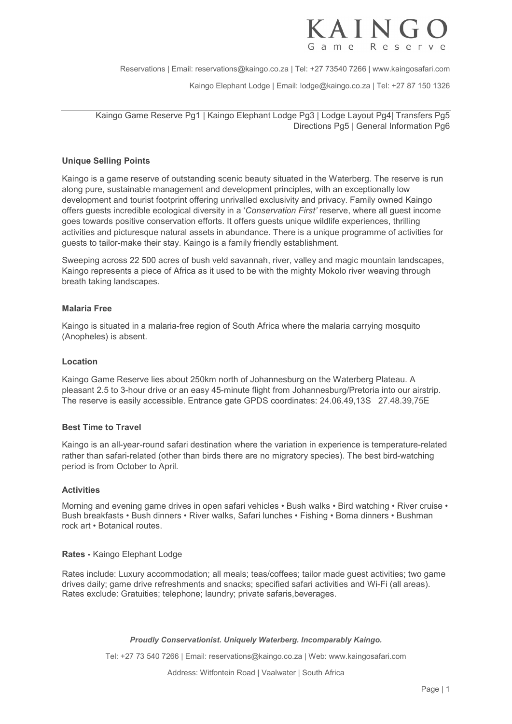

Reservations | Email: reservations@kaingo.co.za | Tel: +27 73540 7266 | www.kaingosafari.com

Kaingo Elephant Lodge | Email: lodge@kaingo.co.za | Tel: +27 87 150 1326

Kaingo Game Reserve Pg1 | Kaingo Elephant Lodge Pg3 | Lodge Layout Pg4| Transfers Pg5 Directions Pg5 | General Information Pg6

# Unique Selling Points

Kaingo is a game reserve of outstanding scenic beauty situated in the Waterberg. The reserve is run along pure, sustainable management and development principles, with an exceptionally low development and tourist footprint offering unrivalled exclusivity and privacy. Family owned Kaingo offers guests incredible ecological diversity in a 'Conservation First' reserve, where all guest income goes towards positive conservation efforts. It offers guests unique wildlife experiences, thrilling activities and picturesque natural assets in abundance. There is a unique programme of activities for guests to tailor-make their stay. Kaingo is a family friendly establishment.

Sweeping across 22 500 acres of bush veld savannah, river, valley and magic mountain landscapes, Kaingo represents a piece of Africa as it used to be with the mighty Mokolo river weaving through breath taking landscapes.

# Malaria Free

Kaingo is situated in a malaria-free region of South Africa where the malaria carrying mosquito (Anopheles) is absent.

## Location

Kaingo Game Reserve lies about 250km north of Johannesburg on the Waterberg Plateau. A pleasant 2.5 to 3-hour drive or an easy 45-minute flight from Johannesburg/Pretoria into our airstrip. The reserve is easily accessible. Entrance gate GPDS coordinates: 24.06.49,13S 27.48.39,75E

# Best Time to Travel

Kaingo is an all-year-round safari destination where the variation in experience is temperature-related rather than safari-related (other than birds there are no migratory species). The best bird-watching period is from October to April.

#### **Activities**

Morning and evening game drives in open safari vehicles • Bush walks • Bird watching • River cruise • Bush breakfasts • Bush dinners • River walks, Safari lunches • Fishing • Boma dinners • Bushman rock art • Botanical routes.

#### Rates - Kaingo Elephant Lodge

Rates include: Luxury accommodation; all meals; teas/coffees; tailor made guest activities; two game drives daily; game drive refreshments and snacks; specified safari activities and Wi-Fi (all areas). Rates exclude: Gratuities; telephone; laundry; private safaris,beverages.

#### Proudly Conservationist. Uniquely Waterberg. Incomparably Kaingo.

Tel: +27 73 540 7266 | Email: reservations@kaingo.co.za | Web: www.kaingosafari.com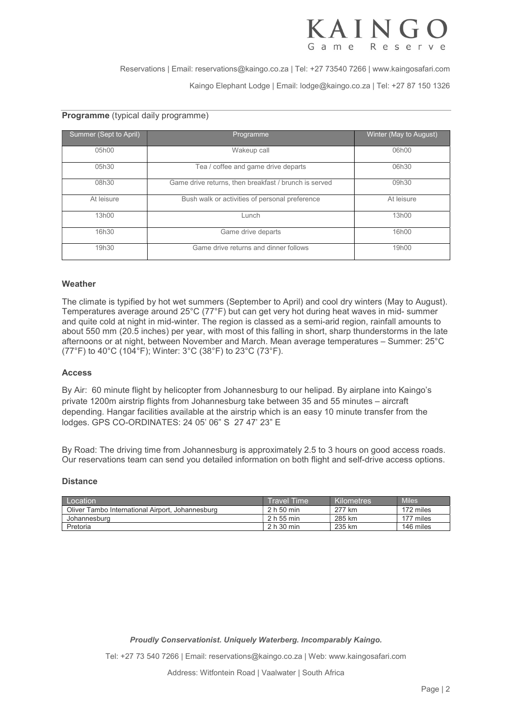

Reservations | Email: reservations@kaingo.co.za | Tel: +27 73540 7266 | www.kaingosafari.com Kaingo Elephant Lodge | Email: lodge@kaingo.co.za | Tel: +27 87 150 1326

## Programme (typical daily programme)

| Summer (Sept to April) | Programme                                             | Winter (May to August) |  |
|------------------------|-------------------------------------------------------|------------------------|--|
| 05h00                  | Wakeup call                                           | 06h00                  |  |
| 05h30                  | Tea / coffee and game drive departs                   | 06h30                  |  |
| 08h30                  | Game drive returns, then breakfast / brunch is served | 09h30                  |  |
| At leisure             | Bush walk or activities of personal preference        | At leisure             |  |
| 13h00                  | Lunch                                                 | 13h00                  |  |
| 16h30                  | Game drive departs                                    | 16h00                  |  |
| 19h30                  | Game drive returns and dinner follows                 | 19h00                  |  |

#### Weather

The climate is typified by hot wet summers (September to April) and cool dry winters (May to August). Temperatures average around 25°C (77°F) but can get very hot during heat waves in mid- summer and quite cold at night in mid-winter. The region is classed as a semi-arid region, rainfall amounts to about 550 mm (20.5 inches) per year, with most of this falling in short, sharp thunderstorms in the late afternoons or at night, between November and March. Mean average temperatures – Summer: 25°C (77°F) to 40°C (104°F); Winter: 3°C (38°F) to 23°C (73°F).

## Access

By Air: 60 minute flight by helicopter from Johannesburg to our helipad. By airplane into Kaingo's private 1200m airstrip flights from Johannesburg take between 35 and 55 minutes – aircraft depending. Hangar facilities available at the airstrip which is an easy 10 minute transfer from the lodges. GPS CO-ORDINATES: 24 05' 06" S 27 47' 23" E

By Road: The driving time from Johannesburg is approximately 2.5 to 3 hours on good access roads. Our reservations team can send you detailed information on both flight and self-drive access options.

#### **Distance**

| Location                                         | Travel Time | Kilometres | <b>Miles</b> |
|--------------------------------------------------|-------------|------------|--------------|
| Oliver Tambo International Airport, Johannesburg | 2 h 50 min  | 277 km     | 172 miles    |
| Johannesburg                                     | 2 h 55 min  | 285 km     | 177 miles    |
| Pretoria                                         | 2 h 30 min  | 235 km     | 146 miles    |

Proudly Conservationist. Uniquely Waterberg. Incomparably Kaingo.

Tel: +27 73 540 7266 | Email: reservations@kaingo.co.za | Web: www.kaingosafari.com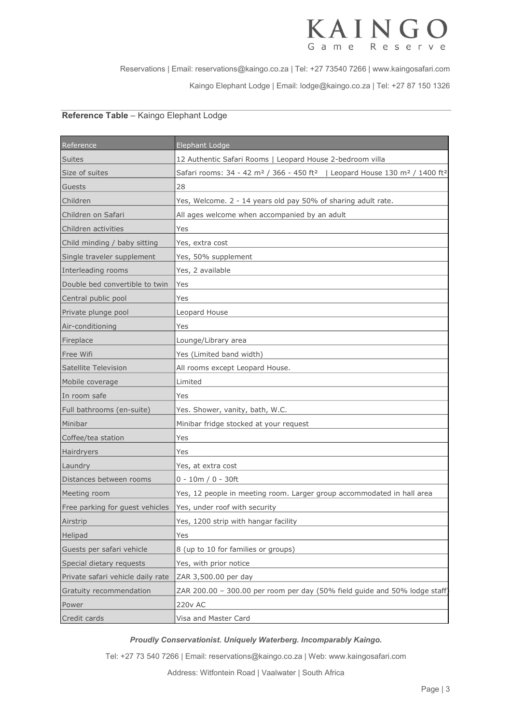#### KAIN Game R e s e r v e

Reservations | Email: reservations@kaingo.co.za | Tel: +27 73540 7266 | www.kaingosafari.com Kaingo Elephant Lodge | Email: lodge@kaingo.co.za | Tel: +27 87 150 1326

# Reference Table – Kaingo Elephant Lodge

| Reference                         | <b>Elephant Lodge</b>                                                                                                      |
|-----------------------------------|----------------------------------------------------------------------------------------------------------------------------|
| <b>Suites</b>                     | 12 Authentic Safari Rooms   Leopard House 2-bedroom villa                                                                  |
| Size of suites                    | Safari rooms: 34 - 42 m <sup>2</sup> / 366 - 450 ft <sup>2</sup>   Leopard House 130 m <sup>2</sup> / 1400 ft <sup>2</sup> |
| Guests                            | 28                                                                                                                         |
| Children                          | Yes, Welcome. 2 - 14 years old pay 50% of sharing adult rate.                                                              |
| Children on Safari                | All ages welcome when accompanied by an adult                                                                              |
| Children activities               | Yes                                                                                                                        |
| Child minding / baby sitting      | Yes, extra cost                                                                                                            |
| Single traveler supplement        | Yes, 50% supplement                                                                                                        |
| Interleading rooms                | Yes, 2 available                                                                                                           |
| Double bed convertible to twin    | Yes                                                                                                                        |
| Central public pool               | Yes                                                                                                                        |
| Private plunge pool               | Leopard House                                                                                                              |
| Air-conditioning                  | Yes                                                                                                                        |
| Fireplace                         | Lounge/Library area                                                                                                        |
| Free Wifi                         | Yes (Limited band width)                                                                                                   |
| Satellite Television              | All rooms except Leopard House.                                                                                            |
| Mobile coverage                   | Limited                                                                                                                    |
| In room safe                      | Yes                                                                                                                        |
| Full bathrooms (en-suite)         | Yes. Shower, vanity, bath, W.C.                                                                                            |
| Minibar                           | Minibar fridge stocked at your request                                                                                     |
| Coffee/tea station                | Yes                                                                                                                        |
| Hairdryers                        | Yes                                                                                                                        |
| Laundry                           | Yes, at extra cost                                                                                                         |
| Distances between rooms           | $0 - 10m / 0 - 30ft$                                                                                                       |
| Meeting room                      | Yes, 12 people in meeting room. Larger group accommodated in hall area                                                     |
| Free parking for guest vehicles   | Yes, under roof with security                                                                                              |
| Airstrip                          | Yes, 1200 strip with hangar facility                                                                                       |
| Helipad                           | Yes                                                                                                                        |
| Guests per safari vehicle         | 8 (up to 10 for families or groups)                                                                                        |
| Special dietary requests          | Yes, with prior notice                                                                                                     |
| Private safari vehicle daily rate | ZAR 3,500.00 per day                                                                                                       |
| Gratuity recommendation           | ZAR 200.00 - 300.00 per room per day (50% field guide and 50% lodge staff)                                                 |
| Power                             | <b>220v AC</b>                                                                                                             |
| Credit cards                      | Visa and Master Card                                                                                                       |

# Proudly Conservationist. Uniquely Waterberg. Incomparably Kaingo.

Tel: +27 73 540 7266 | Email: reservations@kaingo.co.za | Web: www.kaingosafari.com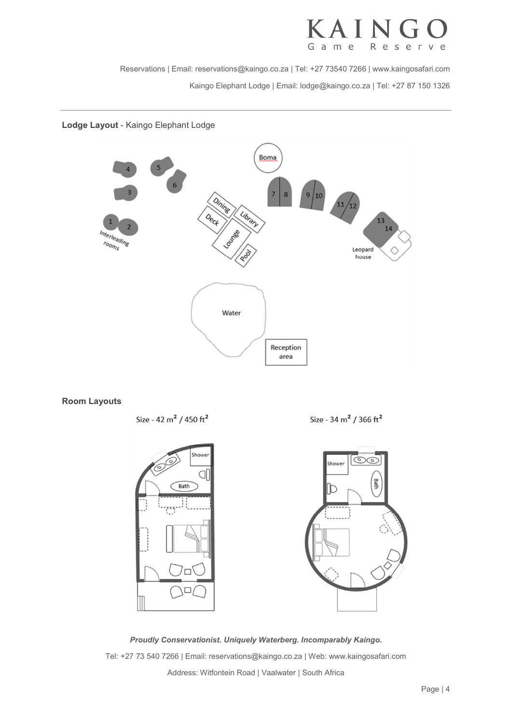

Reservations | Email: reservations@kaingo.co.za | Tel: +27 73540 7266 | www.kaingosafari.com Kaingo Elephant Lodge | Email: lodge@kaingo.co.za | Tel: +27 87 150 1326

# Lodge Layout - Kaingo Elephant Lodge



# Room Layouts

Size - 42 m<sup>2</sup> / 450 ft<sup>2</sup>

Size - 34 m<sup>2</sup> / 366 ft<sup>2</sup>



Proudly Conservationist. Uniquely Waterberg. Incomparably Kaingo. Tel: +27 73 540 7266 | Email: reservations@kaingo.co.za | Web: www.kaingosafari.com Address: Witfontein Road | Vaalwater | South Africa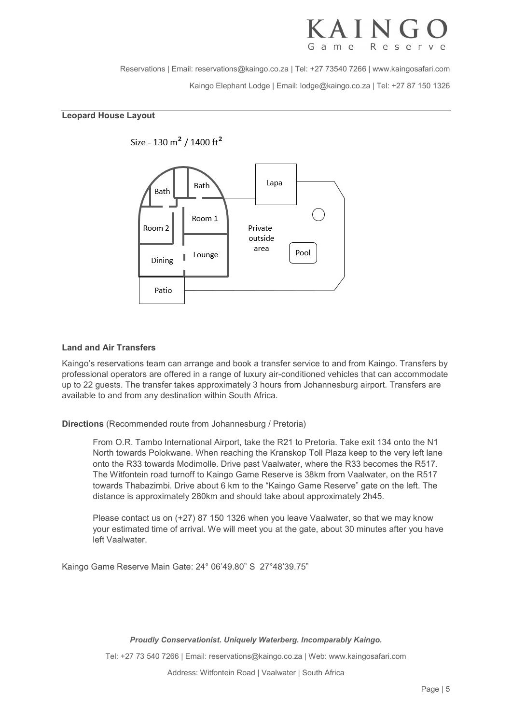# AIN

Reservations | Email: reservations@kaingo.co.za | Tel: +27 73540 7266 | www.kaingosafari.com Kaingo Elephant Lodge | Email: lodge@kaingo.co.za | Tel: +27 87 150 1326

# Leopard House Layout



# Land and Air Transfers

Kaingo's reservations team can arrange and book a transfer service to and from Kaingo. Transfers by professional operators are offered in a range of luxury air-conditioned vehicles that can accommodate up to 22 guests. The transfer takes approximately 3 hours from Johannesburg airport. Transfers are available to and from any destination within South Africa.

Directions (Recommended route from Johannesburg / Pretoria)

From O.R. Tambo International Airport, take the R21 to Pretoria. Take exit 134 onto the N1 North towards Polokwane. When reaching the Kranskop Toll Plaza keep to the very left lane onto the R33 towards Modimolle. Drive past Vaalwater, where the R33 becomes the R517. The Witfontein road turnoff to Kaingo Game Reserve is 38km from Vaalwater, on the R517 towards Thabazimbi. Drive about 6 km to the "Kaingo Game Reserve" gate on the left. The distance is approximately 280km and should take about approximately 2h45.

Please contact us on (+27) 87 150 1326 when you leave Vaalwater, so that we may know your estimated time of arrival. We will meet you at the gate, about 30 minutes after you have left Vaalwater.

Kaingo Game Reserve Main Gate: 24° 06'49.80" S 27°48'39.75"

Proudly Conservationist. Uniquely Waterberg. Incomparably Kaingo.

Tel: +27 73 540 7266 | Email: reservations@kaingo.co.za | Web: www.kaingosafari.com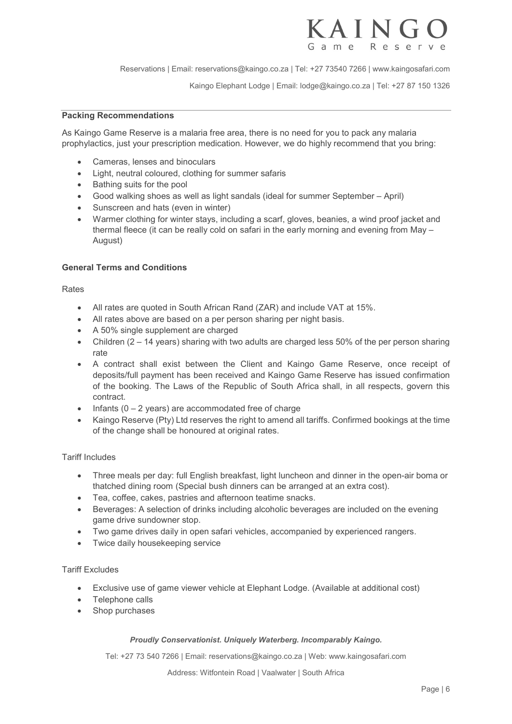

Reservations | Email: reservations@kaingo.co.za | Tel: +27 73540 7266 | www.kaingosafari.com

Kaingo Elephant Lodge | Email: lodge@kaingo.co.za | Tel: +27 87 150 1326

# Packing Recommendations

As Kaingo Game Reserve is a malaria free area, there is no need for you to pack any malaria prophylactics, just your prescription medication. However, we do highly recommend that you bring:

- Cameras, lenses and binoculars
- Light, neutral coloured, clothing for summer safaris
- Bathing suits for the pool
- Good walking shoes as well as light sandals (ideal for summer September April)
- Sunscreen and hats (even in winter)
- Warmer clothing for winter stays, including a scarf, gloves, beanies, a wind proof jacket and thermal fleece (it can be really cold on safari in the early morning and evening from May – August)

# General Terms and Conditions

Rates

- All rates are quoted in South African Rand (ZAR) and include VAT at 15%.
- All rates above are based on a per person sharing per night basis.
- A 50% single supplement are charged
- Children  $(2 14$  years) sharing with two adults are charged less 50% of the per person sharing rate
- A contract shall exist between the Client and Kaingo Game Reserve, once receipt of deposits/full payment has been received and Kaingo Game Reserve has issued confirmation of the booking. The Laws of the Republic of South Africa shall, in all respects, govern this contract.
- $\bullet$  Infants (0 2 years) are accommodated free of charge
- Kaingo Reserve (Pty) Ltd reserves the right to amend all tariffs. Confirmed bookings at the time of the change shall be honoured at original rates.

# Tariff Includes

- Three meals per day: full English breakfast, light luncheon and dinner in the open-air boma or thatched dining room (Special bush dinners can be arranged at an extra cost).
- Tea, coffee, cakes, pastries and afternoon teatime snacks.
- Beverages: A selection of drinks including alcoholic beverages are included on the evening game drive sundowner stop.
- Two game drives daily in open safari vehicles, accompanied by experienced rangers.
- Twice daily housekeeping service

# Tariff Excludes

- Exclusive use of game viewer vehicle at Elephant Lodge. (Available at additional cost)
- Telephone calls
- Shop purchases

# Proudly Conservationist. Uniquely Waterberg. Incomparably Kaingo.

Tel: +27 73 540 7266 | Email: reservations@kaingo.co.za | Web: www.kaingosafari.com